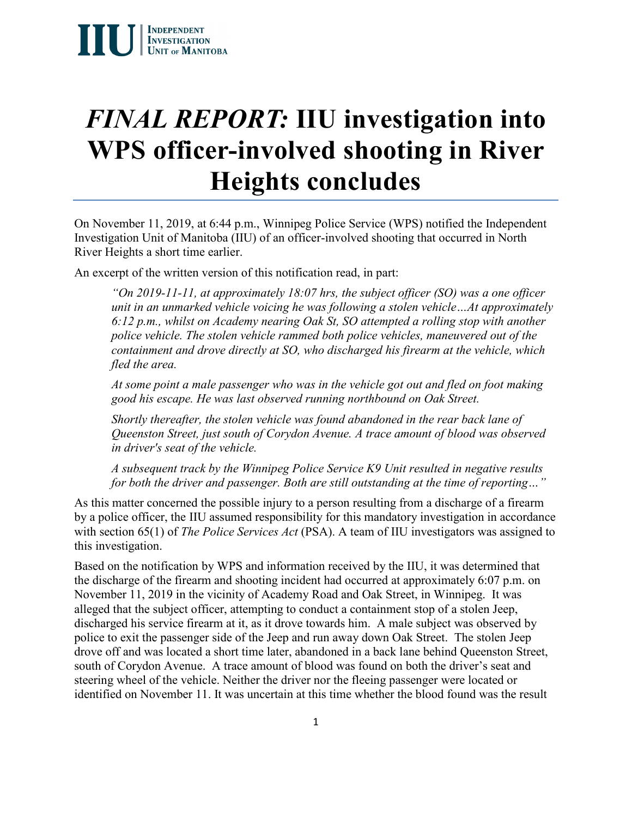# *FINAL REPORT:* **IIU investigation into WPS officer-involved shooting in River Heights concludes**

On November 11, 2019, at 6:44 p.m., Winnipeg Police Service (WPS) notified the Independent Investigation Unit of Manitoba (IIU) of an officer-involved shooting that occurred in North River Heights a short time earlier.

An excerpt of the written version of this notification read, in part:

*"On 2019-11-11, at approximately 18:07 hrs, the subject officer (SO) was a one officer unit in an unmarked vehicle voicing he was following a stolen vehicle…At approximately 6:12 p.m., whilst on Academy nearing Oak St, SO attempted a rolling stop with another police vehicle. The stolen vehicle rammed both police vehicles, maneuvered out of the containment and drove directly at SO, who discharged his firearm at the vehicle, which fled the area.* 

*At some point a male passenger who was in the vehicle got out and fled on foot making good his escape. He was last observed running northbound on Oak Street.* 

*Shortly thereafter, the stolen vehicle was found abandoned in the rear back lane of Queenston Street, just south of Corydon Avenue. A trace amount of blood was observed in driver's seat of the vehicle.*

*A subsequent track by the Winnipeg Police Service K9 Unit resulted in negative results for both the driver and passenger. Both are still outstanding at the time of reporting…"*

As this matter concerned the possible injury to a person resulting from a discharge of a firearm by a police officer, the IIU assumed responsibility for this mandatory investigation in accordance with section 65(1) of *The Police Services Act* (PSA). A team of IIU investigators was assigned to this investigation.

Based on the notification by WPS and information received by the IIU, it was determined that the discharge of the firearm and shooting incident had occurred at approximately 6:07 p.m. on November 11, 2019 in the vicinity of Academy Road and Oak Street, in Winnipeg. It was alleged that the subject officer, attempting to conduct a containment stop of a stolen Jeep, discharged his service firearm at it, as it drove towards him. A male subject was observed by police to exit the passenger side of the Jeep and run away down Oak Street. The stolen Jeep drove off and was located a short time later, abandoned in a back lane behind Queenston Street, south of Corydon Avenue. A trace amount of blood was found on both the driver's seat and steering wheel of the vehicle. Neither the driver nor the fleeing passenger were located or identified on November 11. It was uncertain at this time whether the blood found was the result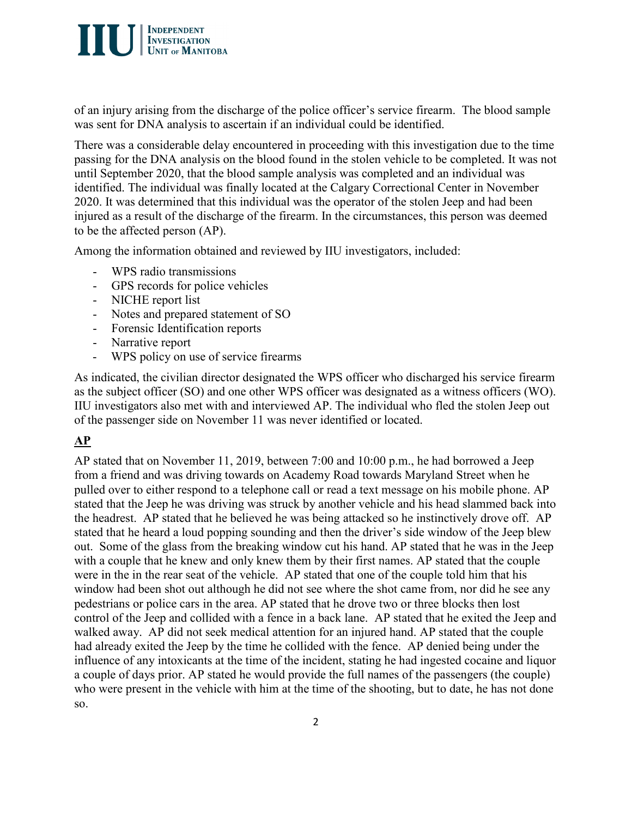

of an injury arising from the discharge of the police officer's service firearm. The blood sample was sent for DNA analysis to ascertain if an individual could be identified.

There was a considerable delay encountered in proceeding with this investigation due to the time passing for the DNA analysis on the blood found in the stolen vehicle to be completed. It was not until September 2020, that the blood sample analysis was completed and an individual was identified. The individual was finally located at the Calgary Correctional Center in November 2020. It was determined that this individual was the operator of the stolen Jeep and had been injured as a result of the discharge of the firearm. In the circumstances, this person was deemed to be the affected person (AP).

Among the information obtained and reviewed by IIU investigators, included:

- WPS radio transmissions
- GPS records for police vehicles
- NICHE report list
- Notes and prepared statement of SO
- Forensic Identification reports
- Narrative report
- WPS policy on use of service firearms

As indicated, the civilian director designated the WPS officer who discharged his service firearm as the subject officer (SO) and one other WPS officer was designated as a witness officers (WO). IIU investigators also met with and interviewed AP. The individual who fled the stolen Jeep out of the passenger side on November 11 was never identified or located.

# **AP**

AP stated that on November 11, 2019, between 7:00 and 10:00 p.m., he had borrowed a Jeep from a friend and was driving towards on Academy Road towards Maryland Street when he pulled over to either respond to a telephone call or read a text message on his mobile phone. AP stated that the Jeep he was driving was struck by another vehicle and his head slammed back into the headrest. AP stated that he believed he was being attacked so he instinctively drove off. AP stated that he heard a loud popping sounding and then the driver's side window of the Jeep blew out. Some of the glass from the breaking window cut his hand. AP stated that he was in the Jeep with a couple that he knew and only knew them by their first names. AP stated that the couple were in the in the rear seat of the vehicle. AP stated that one of the couple told him that his window had been shot out although he did not see where the shot came from, nor did he see any pedestrians or police cars in the area. AP stated that he drove two or three blocks then lost control of the Jeep and collided with a fence in a back lane. AP stated that he exited the Jeep and walked away. AP did not seek medical attention for an injured hand. AP stated that the couple had already exited the Jeep by the time he collided with the fence. AP denied being under the influence of any intoxicants at the time of the incident, stating he had ingested cocaine and liquor a couple of days prior. AP stated he would provide the full names of the passengers (the couple) who were present in the vehicle with him at the time of the shooting, but to date, he has not done so.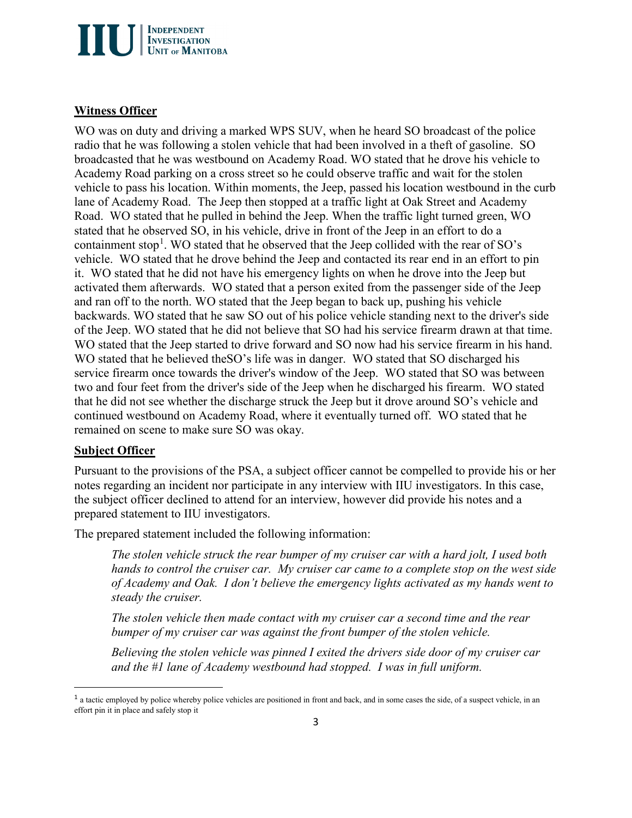

### **Witness Officer**

WO was on duty and driving a marked WPS SUV, when he heard SO broadcast of the police radio that he was following a stolen vehicle that had been involved in a theft of gasoline. SO broadcasted that he was westbound on Academy Road. WO stated that he drove his vehicle to Academy Road parking on a cross street so he could observe traffic and wait for the stolen vehicle to pass his location. Within moments, the Jeep, passed his location westbound in the curb lane of Academy Road. The Jeep then stopped at a traffic light at Oak Street and Academy Road. WO stated that he pulled in behind the Jeep. When the traffic light turned green, WO stated that he observed SO, in his vehicle, drive in front of the Jeep in an effort to do a containment stop<sup>[1](#page-2-0)</sup>. WO stated that he observed that the Jeep collided with the rear of SO's vehicle. WO stated that he drove behind the Jeep and contacted its rear end in an effort to pin it. WO stated that he did not have his emergency lights on when he drove into the Jeep but activated them afterwards. WO stated that a person exited from the passenger side of the Jeep and ran off to the north. WO stated that the Jeep began to back up, pushing his vehicle backwards. WO stated that he saw SO out of his police vehicle standing next to the driver's side of the Jeep. WO stated that he did not believe that SO had his service firearm drawn at that time. WO stated that the Jeep started to drive forward and SO now had his service firearm in his hand. WO stated that he believed the SO's life was in danger. WO stated that SO discharged his service firearm once towards the driver's window of the Jeep. WO stated that SO was between two and four feet from the driver's side of the Jeep when he discharged his firearm. WO stated that he did not see whether the discharge struck the Jeep but it drove around SO's vehicle and continued westbound on Academy Road, where it eventually turned off. WO stated that he remained on scene to make sure SO was okay.

#### **Subject Officer**

 $\overline{a}$ 

Pursuant to the provisions of the PSA, a subject officer cannot be compelled to provide his or her notes regarding an incident nor participate in any interview with IIU investigators. In this case, the subject officer declined to attend for an interview, however did provide his notes and a prepared statement to IIU investigators.

The prepared statement included the following information:

*The stolen vehicle struck the rear bumper of my cruiser car with a hard jolt, I used both hands to control the cruiser car. My cruiser car came to a complete stop on the west side of Academy and Oak. I don't believe the emergency lights activated as my hands went to steady the cruiser.*

*The stolen vehicle then made contact with my cruiser car a second time and the rear bumper of my cruiser car was against the front bumper of the stolen vehicle.*

*Believing the stolen vehicle was pinned I exited the drivers side door of my cruiser car and the #1 lane of Academy westbound had stopped. I was in full uniform.*

<span id="page-2-0"></span><sup>&</sup>lt;sup>1</sup> a tactic employed by police whereby police vehicles are positioned in front and back, and in some cases the side, of a suspect vehicle, in an effort pin it in place and safely stop it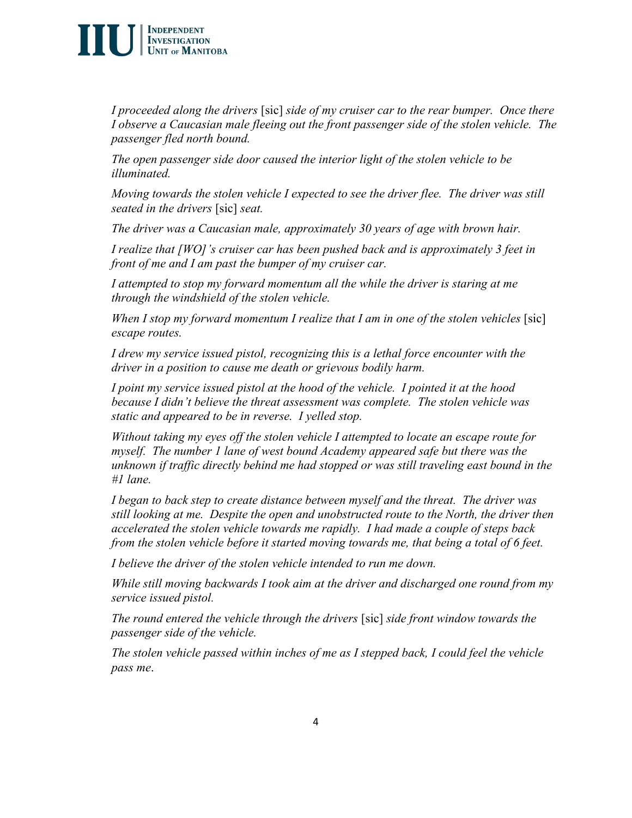# $\int \left| \begin{array}{l} \text{INDEPENDENT} \\ \text{INVESTIGATION} \\ \text{UNIT of MANITOBA} \end{array} \right|$

*I proceeded along the drivers* [sic] *side of my cruiser car to the rear bumper. Once there I observe a Caucasian male fleeing out the front passenger side of the stolen vehicle. The passenger fled north bound.*

*The open passenger side door caused the interior light of the stolen vehicle to be illuminated.*

*Moving towards the stolen vehicle I expected to see the driver flee. The driver was still seated in the drivers* [sic] *seat.*

*The driver was a Caucasian male, approximately 30 years of age with brown hair.*

*I realize that [WO]'s cruiser car has been pushed back and is approximately 3 feet in front of me and I am past the bumper of my cruiser car.*

I attempted to stop my forward momentum all the while the driver is staring at me *through the windshield of the stolen vehicle.*

*When I stop my forward momentum I realize that I am in one of the stolen vehicles* [sic] *escape routes.*

*I drew my service issued pistol, recognizing this is a lethal force encounter with the driver in a position to cause me death or grievous bodily harm.*

*I point my service issued pistol at the hood of the vehicle. I pointed it at the hood because I didn't believe the threat assessment was complete. The stolen vehicle was static and appeared to be in reverse. I yelled stop.*

*Without taking my eyes off the stolen vehicle I attempted to locate an escape route for myself. The number 1 lane of west bound Academy appeared safe but there was the unknown if traffic directly behind me had stopped or was still traveling east bound in the #1 lane.*

*I began to back step to create distance between myself and the threat. The driver was still looking at me. Despite the open and unobstructed route to the North, the driver then accelerated the stolen vehicle towards me rapidly. I had made a couple of steps back from the stolen vehicle before it started moving towards me, that being a total of 6 feet.*

*I believe the driver of the stolen vehicle intended to run me down.*

*While still moving backwards I took aim at the driver and discharged one round from my service issued pistol.*

*The round entered the vehicle through the drivers* [sic] *side front window towards the passenger side of the vehicle.*

*The stolen vehicle passed within inches of me as I stepped back, I could feel the vehicle pass me*.